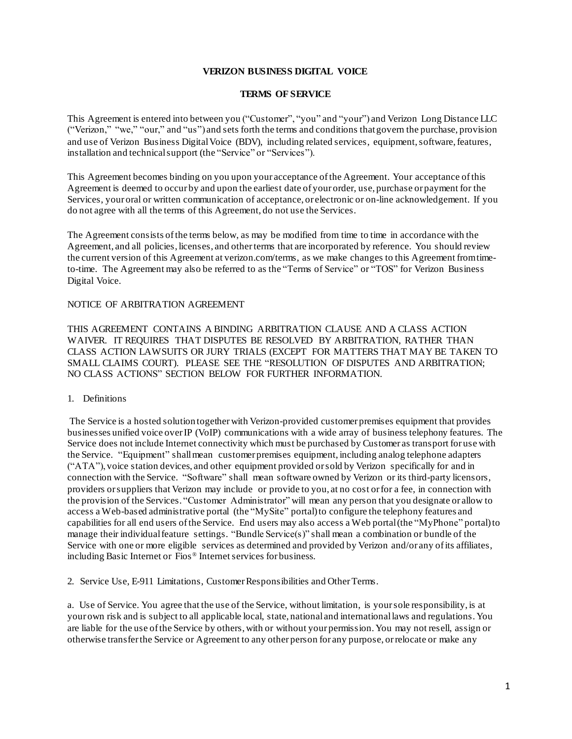# **VERIZON BUSINESS DIGITAL VOICE**

#### **TERMS OF SERVICE**

This Agreement is entered into between you ("Customer", "you" and "your") and Verizon Long Distance LLC ("Verizon," "we," "our," and "us") and sets forth the terms and conditions that govern the purchase, provision and use of Verizon Business Digital Voice (BDV), including related services, equipment,software, features, installation and technical support (the "Service" or "Services").

This Agreement becomes binding on you upon your acceptance ofthe Agreement. Your acceptance ofthis Agreement is deemed to occur by and upon the earliest date of your order, use, purchase or payment for the Services, your oral or written communication of acceptance, or electronic or on-line acknowledgement. If you do not agree with all the terms of this Agreement, do not use the Services.

The Agreement consists ofthe terms below, as may be modified from time to time in accordance with the Agreement, and all policies, licenses, and other terms that are incorporated by reference. You should review the current version of this Agreement at verizon.com/terms, as we make changes to this Agreement fromtimeto-time. The Agreement may also be referred to as the "Terms of Service" or "TOS" for Verizon Business Digital Voice.

### NOTICE OF ARBITRATION AGREEMENT

THIS AGREEMENT CONTAINS A BINDING ARBITRATION CLAUSE AND A CLASS ACTION WAIVER. IT REQUIRES THAT DISPUTES BE RESOLVED BY ARBITRATION, RATHER THAN CLASS ACTION LAWSUITS OR JURY TRIALS (EXCEPT FOR MATTERS THAT MAY BE TAKEN TO SMALL CLAIMS COURT). PLEASE SEE THE "RESOLUTION OF DISPUTES AND ARBITRATION; NO CLASS ACTIONS" SECTION BELOW FOR FURTHER INFORMATION.

# 1. Definitions

The Service is a hosted solution together with Verizon-provided customer premises equipment that provides businesses unified voice over IP (VoIP) communications with a wide array of business telephony features. The Service does not include Internet connectivity which must be purchased by Customer as transport for use with the Service. "Equipment" shall mean customer premises equipment, including analog telephone adapters ("ATA"), voice station devices, and other equipment provided orsold by Verizon specifically for and in connection with the Service. "Software" shall mean software owned by Verizon or its third-party licensors, providers orsuppliers that Verizon may include or provide to you, at no cost orfor a fee, in connection with the provision of the Services. "Customer Administrator" will mean any person that you designate or allow to access a Web-based administrative portal (the "MySite" portal) to configure the telephony features and capabilities for all end users ofthe Service. End users may also access a Web portal (the "MyPhone" portal) to manage their individual feature settings. "Bundle Service(s)" shall mean a combination or bundle of the Service with one or more eligible services as determined and provided by Verizon and/or any ofits affiliates, including Basic Internet or Fios® Internet services for business.

2. Service Use, E-911 Limitations, Customer Responsibilities and Other Terms.

a. Use of Service. You agree that the use of the Service, without limitation, is yoursole responsibility, is at your own risk and is subject to all applicable local, state, national and international laws and regulations. You are liable for the use ofthe Service by others,with or without your permission. You may not resell, assign or otherwise transfer the Service or Agreement to any other person for any purpose, orrelocate or make any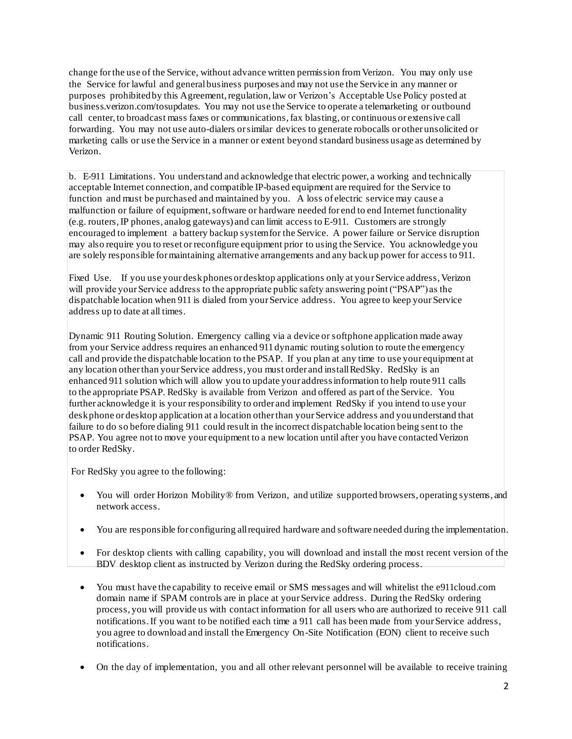change for the use of the Service, without advance written permission fromVerizon. You may only use the Service for lawful and general business purposes and may not use the Service in any manner or purposes prohibited by this Agreement, regulation, law or Verizon's Acceptable Use Policy posted at business.verizon.com/tosupdates. You may not use the Service to operate a telemarketing or outbound call center, to broadcast mass faxes or communications,fax blasting, or continuous or extensive call forwarding. You may not use auto-dialers orsimilar devices to generate robocalls or other unsolicited or marketing calls or use the Service in a manner or extent beyond standard business usage as determined by Verizon.

b. E-911 Limitations. You understand and acknowledge that electric power, a working and technically acceptable Internet connection, and compatible IP-based equipment are required for the Service to function and must be purchased and maintained by you. A loss of electric service may cause a malfunction or failure of equipment, software or hardware needed for end to end Internet functionality (e.g. routers, IP phones, analog gateways) and can limit access to E-911. Customers are strongly encouraged to implement a battery backup systemfor the Service. A power failure or Service disruption may also require you to reset orreconfigure equipment prior to using the Service. You acknowledge you are solely responsible for maintaining alternative arrangements and any back up power for access to 911.

Fixed Use. If you use your desk phones or desktop applications only at your Service address, Verizon will provide your Service address to the appropriate public safety answering point ("PSAP") as the dispatchable location when 911 is dialed from your Service address. You agree to keep your Service address up to date at all times.

Dynamic 911 Routing Solution. Emergency calling via a device or softphone application made away from your Service address requires an enhanced 911 dynamic routing solution to route the emergency call and provide the dispatchable location to the PSAP. If you plan at any time to use your equipment at any location other than your Service address, you must order and install RedSky. RedSky is an enhanced 911 solution which will allow you to update your address information to help route 911 calls to the appropriate PSAP. RedSky is available from Verizon and offered as part of the Service. You further acknowledge it is your responsibility to order and implement RedSky if you intend to use your desk phone or desktop application at a location other than your Service address and you understand that failure to do so before dialing 911 could result in the incorrect dispatchable location being sent to the PSAP. You agree not to move your equipment to a new location until after you have contacted Verizon to order RedSky.

For RedSky you agree to the following:

- You will order Horizon Mobility® from Verizon, and utilize supported browsers, operating systems, and network access.
- You are responsible for configuring all required hardware and software needed during the implementation.
- For desktop clients with calling capability, you will download and install the most recent version of the BDV desktop client as instructed by Verizon during the RedSky ordering process.
- You must have the capability to receive email or SMS messages and will whitelist the e911cloud.com domain name if SPAM controls are in place at your Service address. During the RedSky ordering process, you will provide us with contact information for all users who are authorized to receive 911 call notifications. If you want to be notified each time a 911 call has been made from your Service address, you agree to download and install the Emergency On-Site Notification (EON) client to receive such notifications.
- On the day of implementation, you and all other relevant personnel will be available to receive training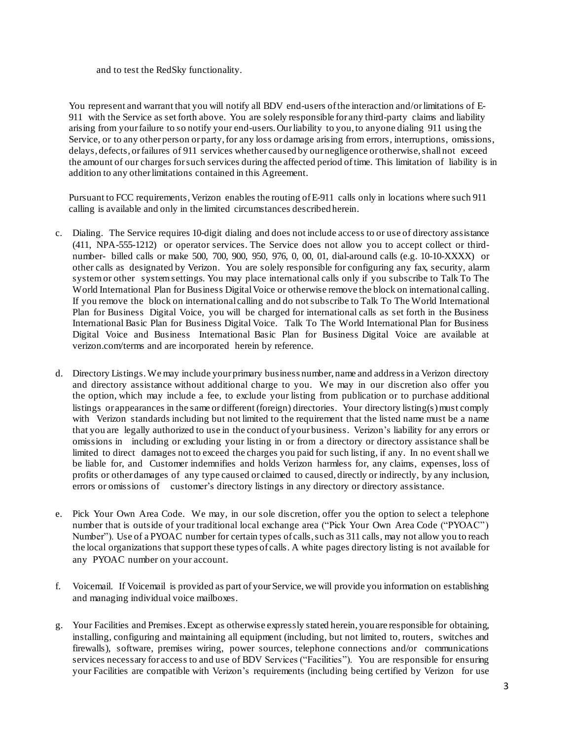and to test the RedSky functionality.

You represent and warrant that you will notify all BDV end-users ofthe interaction and/or limitations of E-911 with the Service as set forth above. You are solely responsible for any third-party claims and liability arising from yourfailure to so notify your end-users.Our liability to you,to anyone dialing 911 using the Service, or to any other person or party, for any loss or damage arising from errors, interruptions, omissions, delays, defects, or failures of 911 services whether caused by our negligence or otherwise, shall not exceed the amount of our charges for such services during the affected period oftime. This limitation of liability is in addition to any other limitations contained in this Agreement.

Pursuant to FCC requirements, Verizon enables the routing ofE-911 calls only in locations where such 911 calling is available and only in the limited circumstances described herein.

- c. Dialing. The Service requires 10-digit dialing and does not include access to or use of directory assistance (411, NPA-555-1212) or operator services. The Service does not allow you to accept collect or thirdnumber- billed calls or make 500, 700, 900, 950, 976, 0, 00, 01, dial-around calls (e.g. 10-10-XXXX) or other calls as designated by Verizon. You are solely responsible for configuring any fax, security, alarm systemor other systemsettings. You may place international calls only if you subscribe to Talk To The World International Plan for Business Digital Voice or otherwise remove the block on international calling. If you remove the block on international calling and do notsubscribe to Talk To The World International Plan for Business Digital Voice, you will be charged for international calls as set forth in the Business International Basic Plan for Business Digital Voice. Talk To The World International Plan for Business Digital Voice and Business International Basic Plan for Business Digital Voice are available at verizon.com/terms and are incorporated herein by reference.
- d. Directory Listings.We may include your primary business number, name and addressin a Verizon directory and directory assistance without additional charge to you. We may in our discretion also offer you the option, which may include a fee, to exclude your listing from publication or to purchase additional listings or appearances in the same or different (foreign) directories. Your directory listing(s) must comply with Verizon standards including but not limited to the requirement that the listed name must be a name that you are legally authorized to use in the conduct of your business. Verizon's liability for any errors or omissions in including or excluding your listing in or from a directory or directory assistance shall be limited to direct damages not to exceed the charges you paid for such listing, if any. In no event shall we be liable for, and Customer indemnifies and holds Verizon harmless for, any claims, expenses, loss of profits or other damages of any type caused or claimed to caused, directly or indirectly, by any inclusion, errors or omissions of customer's directory listings in any directory or directory assistance.
- e. Pick Your Own Area Code. We may, in our sole discretion, offer you the option to select a telephone number that is outside of your traditional local exchange area ("Pick Your Own Area Code ("PYOAC") Number"). Use of a PYOAC number for certain types of calls, such as 311 calls, may not allow you to reach the local organizations that support these types of calls. A white pages directory listing is not available for any PYOAC number on your account.
- f. Voicemail. If Voicemail is provided as part of yourService,we will provide you information on establishing and managing individual voice mailboxes.
- g. Your Facilities and Premises.Except as otherwise expressly stated herein, youare responsible for obtaining, installing, configuring and maintaining all equipment (including, but not limited to, routers, switches and firewalls), software, premises wiring, power sources, telephone connections and/or communications services necessary for access to and use of BDV Services ("Facilities"). You are responsible for ensuring your Facilities are compatible with Verizon's requirements (including being certified by Verizon for use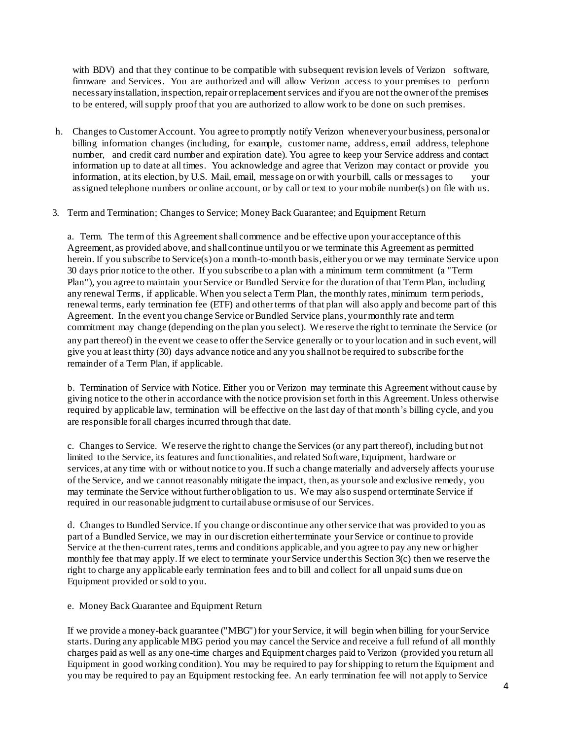with BDV) and that they continue to be compatible with subsequent revision levels of Verizon software, firmware and Services. You are authorized and will allow Verizon access to your premises to perform necessary installation, inspection, repair or replacement services and if you are not the owner of the premises to be entered, willsupply proof that you are authorized to allow work to be done on such premises.

- h. Changes to Customer Account. You agree to promptly notify Verizon whenever your business, personal or billing information changes (including, for example, customer name, address, email address, telephone number, and credit card number and expiration date). You agree to keep your Service address and contact information up to date at all times. You acknowledge and agree that Verizon may contact or provide you information, at its election, by U.S. Mail, email, message on orwith your bill, calls or messages to your assigned telephone numbers or online account, or by call or text to your mobile number(s) on file with us.
- 3. Term and Termination; Changes to Service; Money Back Guarantee; and Equipment Return

a. Term. The termof this Agreement shall commence and be effective upon your acceptance ofthis Agreement, as provided above, and shall continue untilyou or we terminate this Agreement as permitted herein. If you subscribe to Service(s) on a month-to-month basis, either you or we may terminate Service upon 30 days prior notice to the other. If you subscribe to a plan with a minimum term commitment (a "Term Plan"), you agree to maintain your Service or Bundled Service for the duration of that Term Plan, including any renewal Terms, if applicable. When you select a Term Plan, the monthly rates, minimum term periods, renewal terms, early termination fee (ETF) and other terms of that plan will also apply and become part of this Agreement. In the event you change Service or Bundled Service plans, your monthly rate and term commitment may change (depending on the plan you select). We reserve the right to terminate the Service (or any part thereof) in the event we cease to offer the Service generally or to yourlocation and in such event,will give you at least thirty (30) days advance notice and any you shall not be required to subscribe for the remainder of a Term Plan, if applicable.

b. Termination of Service with Notice. Either you or Verizon may terminate this Agreement without cause by giving notice to the other in accordance with the notice provision set forth in this Agreement. Unless otherwise required by applicable law, termination will be effective on the last day of that month's billing cycle, and you are responsible for all charges incurred through that date.

c. Changes to Service. We reserve the right to change the Services (or any part thereof), including but not limited to the Service, its features and functionalities, and related Software,Equipment, hardware or services, at any time with or without notice to you.If such a change materially and adversely affects your use of the Service, and we cannot reasonably mitigate the impact, then, as yoursole and exclusive remedy, you may terminate the Service without further obligation to us. We may also suspend orterminate Service if required in our reasonable judgment to curtail abuse ormisuse of our Services.

d. Changes to Bundled Service.If you change or discontinue any other service that was provided to you as part of a Bundled Service, we may in our discretion either terminate your Service or continue to provide Service at the then-current rates, terms and conditions applicable, and you agree to pay any new or higher monthly fee that may apply.If we elect to terminate yourService underthis Section 3(c) then we reserve the right to charge any applicable early termination fees and to bill and collect for all unpaid sums due on Equipment provided or sold to you.

e. Money Back Guarantee and Equipment Return

If we provide a money-back guarantee ("MBG") for your Service, it will begin when billing for your Service starts.During any applicable MBG period you may cancel the Service and receive a full refund of all monthly charges paid as well as any one-time charges and Equipment charges paid to Verizon (provided you return all Equipment in good working condition). You may be required to pay for shipping to return the Equipment and you may be required to pay an Equipment restocking fee. An early termination fee will not apply to Service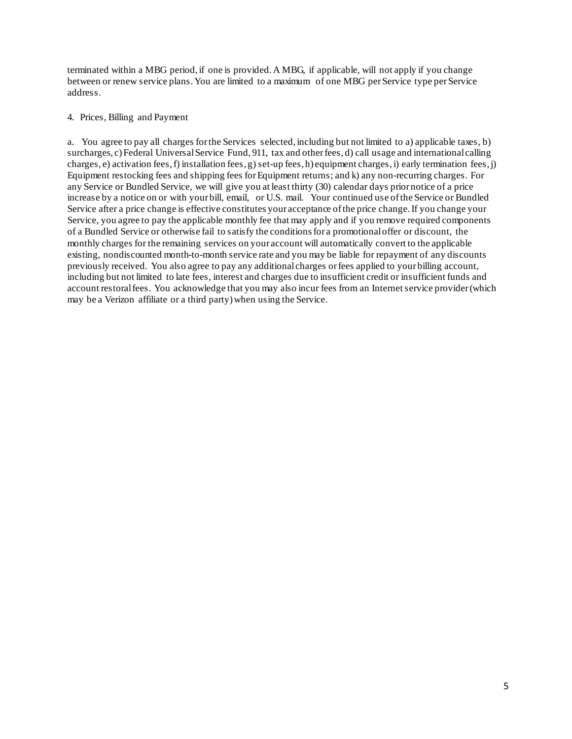terminated within a MBG period, if one is provided. A MBG, if applicable, will not apply if you change between or renew service plans. You are limited to a maximum of one MBG per Service type per Service address.

#### 4. Prices, Billing and Payment

a. You agree to pay all charges for the Services selected, including but not limited to a) applicable taxes, b) surcharges, c)Federal Universal Service Fund, 911, tax and other fees, d) call usage and international calling charges, e) activation fees,f) installation fees, g) set-up fees, h) equipment charges, i) early termination fees,j) Equipment restocking fees and shipping fees for Equipment returns; and k) any non-recurring charges. For any Service or Bundled Service, we will give you at least thirty (30) calendar days prior notice of a price increase by a notice on or with your bill, email, or U.S. mail. Your continued use ofthe Service or Bundled Service after a price change is effective constitutes your acceptance ofthe price change.If you change your Service, you agree to pay the applicable monthly fee that may apply and if you remove required components of a Bundled Service or otherwise fail to satisfy the conditionsfor a promotional offer or discount, the monthly charges for the remaining services on your account will automatically convert to the applicable existing, nondiscounted month-to-month service rate and you may be liable for repayment of any discounts previously received. You also agree to pay any additional charges orfees applied to your billing account, including but not limited to late fees, interest and charges due to insufficient credit or insufficient funds and account restoral fees. You acknowledge that you may also incur fees from an Internet service provider (which may be a Verizon affiliate or a third party) when using the Service.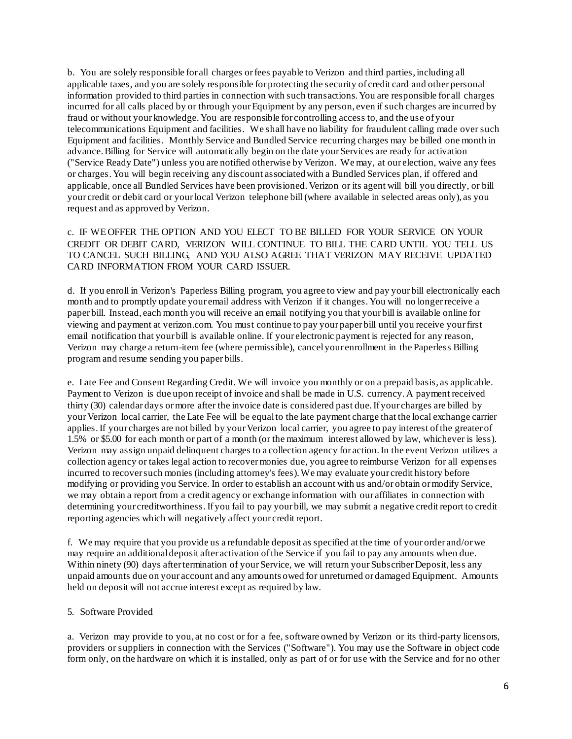b. You are solely responsible for all charges orfees payable to Verizon and third parties, including all applicable taxes, and you are solely responsible for protecting the security of credit card and other personal information provided to third parties in connection with such transactions. You are responsible for all charges incurred for all calls placed by or through your Equipment by any person, even if such charges are incurred by fraud or without your knowledge. You are responsible for controlling access to, and the use of your telecommunications Equipment and facilities. We shall have no liability for fraudulent calling made over such Equipment and facilities. Monthly Service and Bundled Service recurring charges may be billed one month in advance.Billing for Service will automatically begin on the date yourServices are ready for activation ("Service Ready Date") unless you are notified otherwise by Verizon. We may, at our election, waive any fees or charges.You will begin receiving any discount associatedwith a Bundled Services plan, if offered and applicable, once all Bundled Services have been provisioned. Verizon or its agent will bill you directly, or bill your credit or debit card or your local Verizon telephone bill (where available in selected areas only), as you request and as approved by Verizon.

c. IF WE OFFER THE OPTION AND YOU ELECT TO BE BILLED FOR YOUR SERVICE ON YOUR CREDIT OR DEBIT CARD, VERIZON WILL CONTINUE TO BILL THE CARD UNTIL YOU TELL US TO CANCEL SUCH BILLING, AND YOU ALSO AGREE THAT VERIZON MAY RECEIVE UPDATED CARD INFORMATION FROM YOUR CARD ISSUER.

d. If you enroll in Verizon's Paperless Billing program, you agree to view and pay your bill electronically each month and to promptly update your email address with Verizon if it changes. You will no longer receive a paper bill. Instead, each month you will receive an email notifying you that your bill is available online for viewing and payment at verizon.com. You must continue to pay your paper bill until you receive yourfirst email notification that your bill is available online. If your electronic payment is rejected for any reason, Verizon may charge a return-item fee (where permissible), cancel your enrollment in the Paperless Billing programand resume sending you paper bills.

e. Late Fee and Consent Regarding Credit. We will invoice you monthly or on a prepaid basis, as applicable. Payment to Verizon is due upon receipt of invoice and shall be made in U.S. currency. A payment received thirty (30) calendar days ormore after the invoice date is considered past due. If your charges are billed by your Verizon local carrier, the Late Fee will be equalto the late payment charge that the local exchange carrier applies.If your charges are not billed by yourVerizon local carrier, you agree to pay interest ofthe greater of 1.5% or \$5.00 for each month or part of a month (or the maximum interest allowed by law, whichever is less). Verizon may assign unpaid delinquent charges to a collection agency for action.In the event Verizon utilizes a collection agency or takes legal action to recover monies due, you agree to reimburse Verizon for all expenses incurred to recover such monies (including attorney's fees).We may evaluate your credit history before modifying or providing you Service. In order to establish an account with us and/or obtain ormodify Service, we may obtain a report from a credit agency or exchange information with our affiliates in connection with determining your creditworthiness.If you fail to pay your bill, we may submit a negative credit report to credit reporting agencies which will negatively affect your credit report.

f. We may require that you provide us a refundable deposit as specified at the time of your order and/or we may require an additional deposit after activation ofthe Service if you fail to pay any amounts when due. Within ninety (90) days after termination of your Service, we will return your Subscriber Deposit, less any unpaid amounts due on your account and any amounts owed for unreturned or damaged Equipment. Amounts held on deposit will not accrue interest except as required by law.

### 5. Software Provided

a. Verizon may provide to you, at no cost or for a fee, software owned by Verizon or its third-party licensors, providers or suppliers in connection with the Services ("Software"). You may use the Software in object code form only, on the hardware on which it is installed, only as part of or for use with the Service and for no other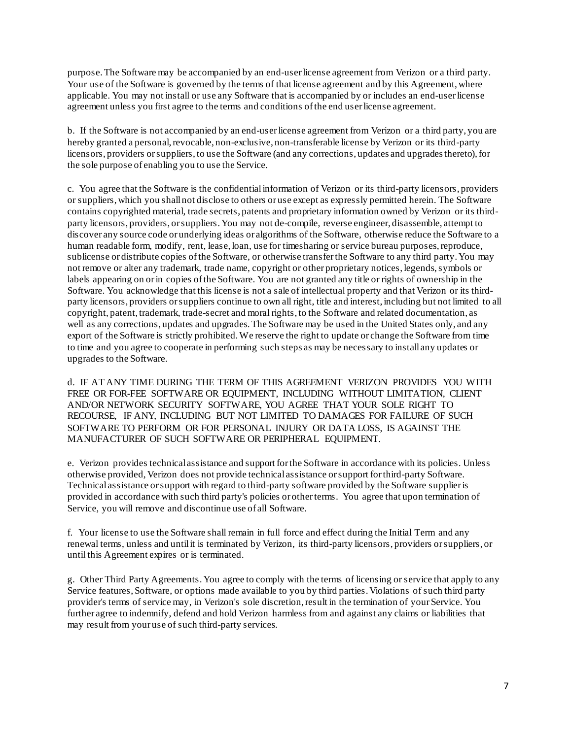purpose.The Software may be accompanied by an end-user license agreement from Verizon or a third party. Your use of the Software is governed by the terms of that license agreement and by this Agreement, where applicable. You may not install or use any Software that is accompanied by or includes an end-user license agreement unless you first agree to the terms and conditions ofthe end user license agreement.

b. If the Software is not accompanied by an end-user license agreement from Verizon or a third party, you are hereby granted a personal, revocable, non-exclusive, non-transferable license by Verizon or its third-party licensors, providers or suppliers, to use the Software (and any corrections, updates and upgrades thereto), for the sole purpose of enabling you to use the Service.

c. You agree that the Software is the confidential information of Verizon or its third-party licensors, providers or suppliers, which you shallnot disclose to others or use except as expressly permitted herein. The Software contains copyrighted material, trade secrets, patents and proprietary information owned by Verizon or its thirdparty licensors, providers, orsuppliers. You may not de-compile, reverse engineer, disassemble, attempt to discover any source code or underlying ideas or algorithms of the Software, otherwise reduce the Software to a human readable form, modify, rent, lease, loan, use for timesharing or service bureau purposes, reproduce, sublicense or distribute copies ofthe Software, or otherwise transfer the Software to any third party.You may not remove or alter any trademark, trade name, copyright or other proprietary notices, legends, symbols or labels appearing on orin copies ofthe Software. You are not granted any title or rights of ownership in the Software. You acknowledge that this license is not a sale of intellectual property and that Verizon or its thirdparty licensors, providers orsuppliers continue to own all right, title and interest, including but not limited to all copyright, patent, trademark, trade-secret and moral rights, to the Software and related documentation, as well as any corrections, updates and upgrades.The Software may be used in the United States only, and any export of the Software is strictly prohibited.We reserve the right to update or change the Software from time to time and you agree to cooperate in performing such steps as may be necessary to install any updates or upgrades to the Software.

d. IF AT ANY TIME DURING THE TERM OF THIS AGREEMENT VERIZON PROVIDES YOU WITH FREE OR FOR-FEE SOFTWARE OR EQUIPMENT, INCLUDING WITHOUT LIMITATION, CLIENT AND/OR NETWORK SECURITY SOFTWARE, YOU AGREE THAT YOUR SOLE RIGHT TO RECOURSE, IF ANY, INCLUDING BUT NOT LIMITED TO DAMAGES FOR FAILURE OF SUCH SOFTWARE TO PERFORM OR FOR PERSONAL INJURY OR DATA LOSS, IS AGAINST THE MANUFACTURER OF SUCH SOFTWARE OR PERIPHERAL EQUIPMENT.

e. Verizon provides technical assistance and support for the Software in accordance with its policies. Unless otherwise provided, Verizon does not provide technical assistance orsupport for third-party Software. Technical assistance orsupport with regard to third-party software provided by the Software supplier is provided in accordance with such third party's policies or other terms. You agree that upon termination of Service, you will remove and discontinue use of all Software.

f. Your license to use the Software shall remain in full force and effect during the Initial Term and any renewal terms, unless and untilit is terminated by Verizon, its third-party licensors, providers orsuppliers, or until this Agreement expires or is terminated.

g. Other Third Party Agreements. You agree to comply with the terms of licensing or service that apply to any Service features, Software, or options made available to you by third parties. Violations of such third party provider's terms of service may, in Verizon's sole discretion,result in the termination of yourService. You further agree to indemnify, defend and hold Verizon harmless from and against any claims or liabilities that may result from your use of such third-party services.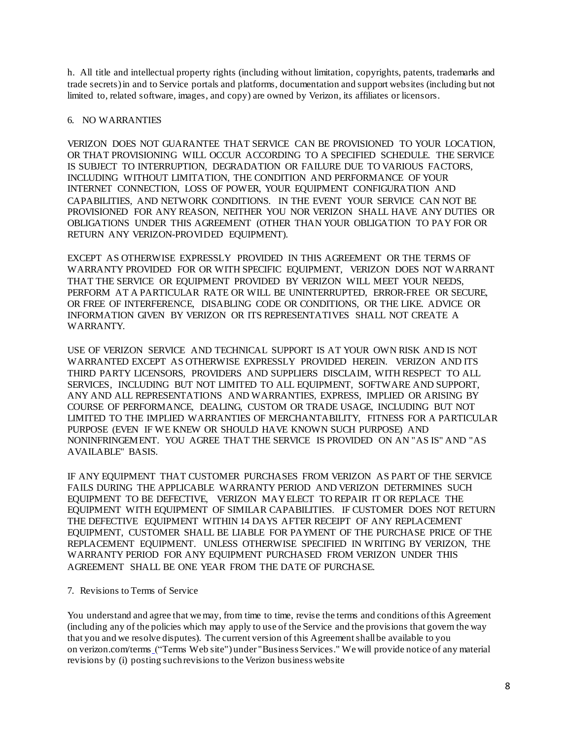h. All title and intellectual property rights (including without limitation, copyrights, patents, trademarks and trade secrets) in and to Service portals and platforms, documentation and support websites (including but not limited to, related software, images, and copy) are owned by Verizon, its affiliates or licensors.

# 6. NO WARRANTIES

VERIZON DOES NOT GUARANTEE THAT SERVICE CAN BE PROVISIONED TO YOUR LOCATION, OR THAT PROVISIONING WILL OCCUR ACCORDING TO A SPECIFIED SCHEDULE. THE SERVICE IS SUBJECT TO INTERRUPTION, DEGRADATION OR FAILURE DUE TO VARIOUS FACTORS, INCLUDING WITHOUT LIMITATION, THE CONDITION AND PERFORMANCE OF YOUR INTERNET CONNECTION, LOSS OF POWER, YOUR EQUIPMENT CONFIGURATION AND CAPABILITIES, AND NETWORK CONDITIONS. IN THE EVENT YOUR SERVICE CAN NOT BE PROVISIONED FOR ANY REASON, NEITHER YOU NOR VERIZON SHALL HAVE ANY DUTIES OR OBLIGATIONS UNDER THIS AGREEMENT (OTHER THAN YOUR OBLIGATION TO PAY FOR OR RETURN ANY VERIZON-PROVIDED EQUIPMENT).

EXCEPT AS OTHERWISE EXPRESSLY PROVIDED IN THIS AGREEMENT OR THE TERMS OF WARRANTY PROVIDED FOR OR WITH SPECIFIC EQUIPMENT, VERIZON DOES NOT WARRANT THAT THE SERVICE OR EQUIPMENT PROVIDED BY VERIZON WILL MEET YOUR NEEDS, PERFORM AT A PARTICULAR RATE OR WILL BE UNINTERRUPTED, ERROR-FREE OR SECURE, OR FREE OF INTERFERENCE, DISABLING CODE OR CONDITIONS, OR THE LIKE. ADVICE OR INFORMATION GIVEN BY VERIZON OR ITS REPRESENTATIVES SHALL NOT CREATE A WARRANTY.

USE OF VERIZON SERVICE AND TECHNICAL SUPPORT IS AT YOUR OWN RISK AND IS NOT WARRANTED EXCEPT AS OTHERWISE EXPRESSLY PROVIDED HEREIN. VERIZON AND ITS THIRD PARTY LICENSORS, PROVIDERS AND SUPPLIERS DISCLAIM, WITH RESPECT TO ALL SERVICES, INCLUDING BUT NOT LIMITED TO ALL EQUIPMENT, SOFTWARE AND SUPPORT, ANY AND ALL REPRESENTATIONS AND WARRANTIES, EXPRESS, IMPLIED OR ARISING BY COURSE OF PERFORMANCE, DEALING, CUSTOM OR TRADE USAGE, INCLUDING BUT NOT LIMITED TO THE IMPLIED WARRANTIES OF MERCHANTABILITY, FITNESS FOR A PARTICULAR PURPOSE (EVEN IF WE KNEW OR SHOULD HAVE KNOWN SUCH PURPOSE) AND NONINFRINGEMENT. YOU AGREE THAT THE SERVICE IS PROVIDED ON AN "AS IS" AND "AS AVAILABLE" BASIS.

IF ANY EQUIPMENT THAT CUSTOMER PURCHASES FROM VERIZON AS PART OF THE SERVICE FAILS DURING THE APPLICABLE WARRANTY PERIOD AND VERIZON DETERMINES SUCH EQUIPMENT TO BE DEFECTIVE, VERIZON MAYELECT TO REPAIR IT OR REPLACE THE EQUIPMENT WITH EQUIPMENT OF SIMILAR CAPABILITIES. IF CUSTOMER DOES NOT RETURN THE DEFECTIVE EQUIPMENT WITHIN 14 DAYS AFTER RECEIPT OF ANY REPLACEMENT EQUIPMENT, CUSTOMER SHALL BE LIABLE FOR PAYMENT OF THE PURCHASE PRICE OF THE REPLACEMENT EQUIPMENT. UNLESS OTHERWISE SPECIFIED IN WRITING BY VERIZON, THE WARRANTY PERIOD FOR ANY EQUIPMENT PURCHASED FROM VERIZON UNDER THIS AGREEMENT SHALL BE ONE YEAR FROM THE DATE OF PURCHASE.

### 7. Revisions to Terms of Service

You understand and agree that we may, from time to time, revise the terms and conditions ofthis Agreement (including any of the policies which may apply to use of the Service and the provisions that govern the way that you and we resolve disputes). The current version of this Agreement shall be available to you on verizon.com/terms ("Terms Web site") under "Business Services." We will provide notice of any material revisions by (i) posting suchrevisions to the Verizon business website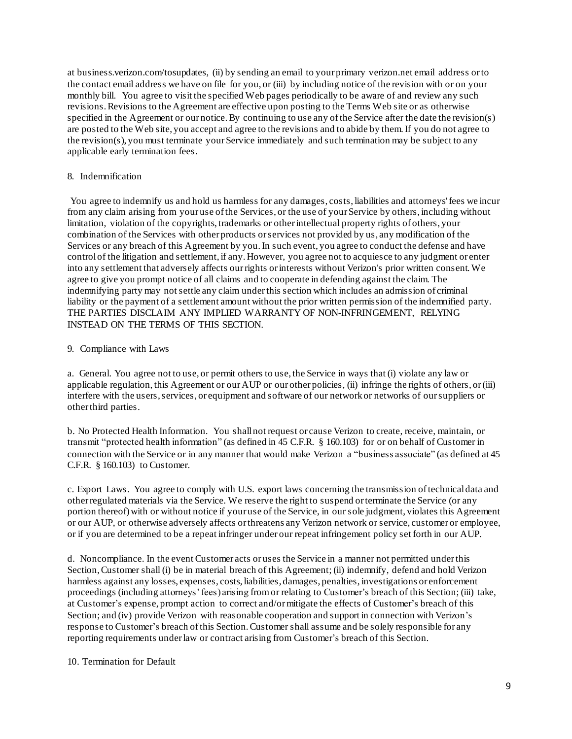at business.verizon.com/tosupdates, (ii) by sending an email to your primary verizon.net email address orto the contact email address we have on file for you, or (iii) by including notice of the revision with or on your monthly bill. You agree to visit the specified Web pages periodically to be aware of and review any such revisions.Revisions to the Agreement are effective upon posting to the Terms Web site or as otherwise specified in the Agreement or our notice. By continuing to use any of the Service after the date the revision(s) are posted to the Web site, you accept and agree to the revisions and to abide by them.If you do not agree to the revision(s), you must terminate your Service immediately and such termination may be subject to any applicable early termination fees.

# 8. Indemnification

You agree to indemnify us and hold us harmless for any damages, costs, liabilities and attorneys'fees we incur from any claim arising from your use of the Services, or the use of your Service by others, including without limitation, violation of the copyrights, trademarks or other intellectual property rights of others, your combination of the Services with other products orservices not provided by us, any modification of the Services or any breach of this Agreement by you.In such event, you agree to conduct the defense and have control of the litigation and settlement, if any.However, you agree not to acquiesce to any judgment or enter into any settlement that adversely affects ourrights orinterests without Verizon's prior written consent.We agree to give you prompt notice of all claims and to cooperate in defending against the claim. The indemnifying party may notsettle any claim underthis section which includes an admission of criminal liability or the payment of a settlement amount without the prior written permission of the indemnified party. THE PARTIES DISCLAIM ANY IMPLIED WARRANTY OF NON-INFRINGEMENT, RELYING INSTEAD ON THE TERMS OF THIS SECTION.

# 9. Compliance with Laws

a. General. You agree not to use, or permit others to use, the Service in ways that (i) violate any law or applicable regulation, this Agreement or our AUP or our other policies, (ii) infringe the rights of others, or(iii) interfere with the users, services, or equipment and software of our network or networks of our suppliers or other third parties.

b. No Protected Health Information. You shall not request or cause Verizon to create, receive, maintain, or transmit "protected health information" (as defined in 45 C.F.R. § 160.103) for or on behalf of Customer in connection with the Service or in any manner that would make Verizon a "business associate" (as defined at 45 C.F.R. § 160.103) to Customer.

c. Export Laws. You agree to comply with U.S. export laws concerning the transmission oftechnicaldata and other regulated materials via the Service. We reserve the right to suspend orterminate the Service (or any portion thereof) with or without notice if your use of the Service, in our sole judgment, violates this Agreement or our AUP, or otherwise adversely affects orthreatens any Verizon network or service, customer or employee, or if you are determined to be a repeat infringer under our repeat infringement policy set forth in our AUP.

d. Noncompliance. In the event Customer acts or uses the Service in a manner not permitted underthis Section, Customer shall (i) be in material breach of this Agreement; (ii) indemnify, defend and hold Verizon harmless against any losses, expenses, costs, liabilities, damages, penalties, investigations or enforcement proceedings (including attorneys' fees) arising fromor relating to Customer's breach of this Section; (iii) take, at Customer's expense, prompt action to correct and/or mitigate the effects of Customer's breach of this Section; and (iv) provide Verizon with reasonable cooperation and support in connection with Verizon's response to Customer's breach ofthis Section.Customer shall assume and be solely responsible for any reporting requirements under law or contract arising from Customer's breach of this Section.

### 10. Termination for Default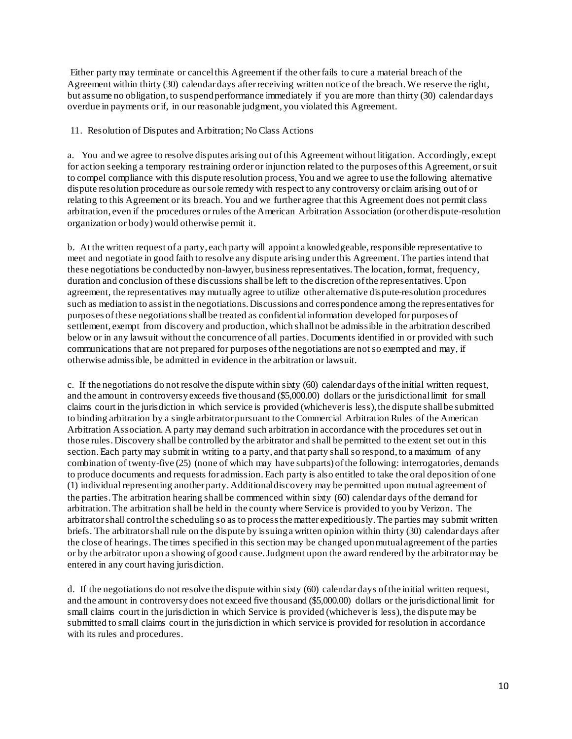Either party may terminate or cancel this Agreement if the other fails to cure a material breach of the Agreement within thirty (30) calendar days after receiving written notice of the breach.We reserve the right, but assume no obligation, to suspend performance immediately if you are more than thirty (30) calendar days overdue in payments orif, in our reasonable judgment, you violated this Agreement.

# 11. Resolution of Disputes and Arbitration; No Class Actions

a. You and we agree to resolve disputes arising out ofthis Agreement without litigation. Accordingly, except for action seeking a temporary restraining order or injunction related to the purposes ofthis Agreement, orsuit to compel compliance with this dispute resolution process,You and we agree to use the following alternative dispute resolution procedure as oursole remedy with respect to any controversy or claim arising out of or relating to this Agreement or its breach.You and we further agree that this Agreement does not permit class arbitration, even if the procedures orrules ofthe American Arbitration Association (or other dispute-resolution organization or body)would otherwise permit it.

b. At the written request of a party, each party will appoint a knowledgeable, responsible representative to meet and negotiate in good faith to resolve any dispute arising underthis Agreement.The parties intend that these negotiations be conducted by non-lawyer, business representatives. The location, format, frequency, duration and conclusion ofthese discussions shall be left to the discretion ofthe representatives. Upon agreement, the representatives may mutually agree to utilize other alternative dispute-resolution procedures such as mediation to assist in the negotiations. Discussions and correspondence among the representatives for purposes ofthese negotiationsshall be treated as confidentialinformation developed for purposes of settlement, exempt from discovery and production, which shall not be admissible in the arbitration described below or in any lawsuit without the concurrence of all parties.Documents identified in or provided with such communications that are not prepared for purposes ofthe negotiations are notso exempted and may, if otherwise admissible, be admitted in evidence in the arbitration or lawsuit.

c. If the negotiations do not resolve the dispute within sixty (60) calendar days ofthe initial written request, and the amount in controversy exceeds five thousand (\$5,000.00) dollars or the jurisdictional limit for small claims court in the jurisdiction in which service is provided (whichever is less),the dispute shall be submitted to binding arbitration by a single arbitrator pursuant to the Commercial Arbitration Rules of the American Arbitration Association. A party may demand such arbitration in accordance with the procedures set out in those rules. Discovery shallbe controlled by the arbitrator and shall be permitted to the extent set out in this section. Each party may submit in writing to a party, and that party shall so respond, to a maximum of any combination of twenty-five (25) (none of which may have subparts) ofthe following: interrogatories, demands to produce documents and requests for admission.Each party is also entitled to take the oral deposition of one (1) individual representing another party.Additional discovery may be permitted upon mutual agreement of the parties.The arbitration hearing shall be commenced within sixty (60) calendar days ofthe demand for arbitration.The arbitration shall be held in the county where Service is provided to you by Verizon. The arbitrator shall control the scheduling so as to processthe matter expeditiously.The parties may submit written briefs. The arbitrator shall rule on the dispute by issuinga written opinion within thirty (30) calendar days after the close of hearings.The times specified in this section may be changed uponmutual agreement of the parties or by the arbitrator upon a showing of good cause.Judgment upon the award rendered by the arbitratormay be entered in any court having jurisdiction.

d. If the negotiations do not resolve the dispute within sixty (60) calendar days ofthe initial written request, and the amount in controversy does not exceed five thousand (\$5,000.00) dollars or the jurisdictional limit for small claims court in the jurisdiction in which Service is provided (whichever is less), the dispute may be submitted to small claims court in the jurisdiction in which service is provided for resolution in accordance with its rules and procedures.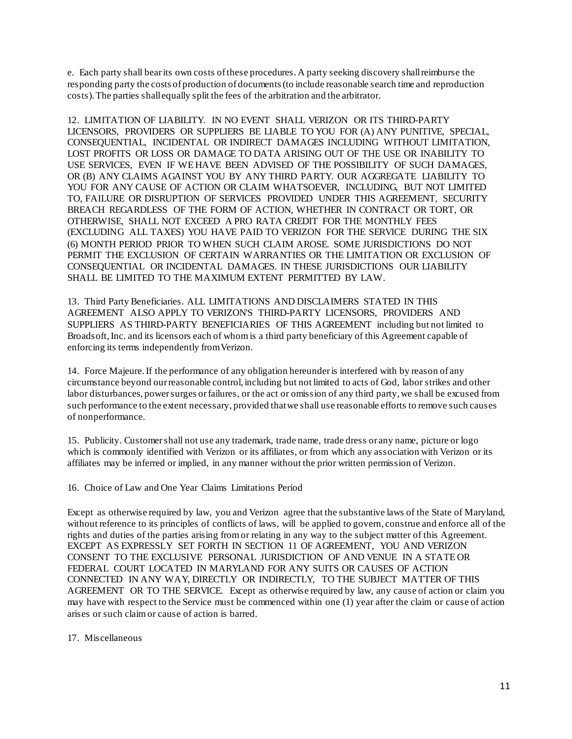e. Each party shall bearits own costs ofthese procedures. A party seeking discovery shall reimburse the responding party the costs of production of documents(to include reasonable search time and reproduction costs).The parties shall equally split the fees of the arbitration and the arbitrator.

12. LIMITATION OF LIABILITY. IN NO EVENT SHALL VERIZON OR ITS THIRD-PARTY LICENSORS, PROVIDERS OR SUPPLIERS BE LIABLE TO YOU FOR (A) ANY PUNITIVE, SPECIAL, CONSEQUENTIAL, INCIDENTAL OR INDIRECT DAMAGES INCLUDING WITHOUT LIMITATION, LOST PROFITS OR LOSS OR DAMAGE TO DATA ARISING OUT OF THE USE OR INABILITY TO USE SERVICES, EVEN IF WE HAVE BEEN ADVISED OF THE POSSIBILITY OF SUCH DAMAGES, OR (B) ANY CLAIMS AGAINST YOU BY ANY THIRD PARTY. OUR AGGREGATE LIABILITY TO YOU FOR ANY CAUSE OF ACTION OR CLAIM WHATSOEVER, INCLUDING, BUT NOT LIMITED TO, FAILURE OR DISRUPTION OF SERVICES PROVIDED UNDER THIS AGREEMENT, SECURITY BREACH REGARDLESS OF THE FORM OF ACTION, WHETHER IN CONTRACT OR TORT, OR OTHERWISE, SHALL NOT EXCEED A PRO RATA CREDIT FOR THE MONTHLY FEES (EXCLUDING ALL TAXES) YOU HAVE PAID TO VERIZON FOR THE SERVICE DURING THE SIX (6) MONTH PERIOD PRIOR TO WHEN SUCH CLAIM AROSE. SOME JURISDICTIONS DO NOT PERMIT THE EXCLUSION OF CERTAIN WARRANTIES OR THE LIMITATION OR EXCLUSION OF CONSEQUENTIAL OR INCIDENTAL DAMAGES. IN THESE JURISDICTIONS OUR LIABILITY SHALL BE LIMITED TO THE MAXIMUM EXTENT PERMITTED BY LAW.

13. Third Party Beneficiaries. ALL LIMITATIONS AND DISCLAIMERS STATED IN THIS AGREEMENT ALSO APPLY TO VERIZON'S THIRD-PARTY LICENSORS, PROVIDERS AND SUPPLIERS AS THIRD-PARTY BENEFICIARIES OF THIS AGREEMENT including but not limited to Broadsoft,Inc. and its licensors each of whomis a third party beneficiary of this Agreement capable of enforcing its terms independently fromVerizon.

14. Force Majeure. If the performance of any obligation hereunder is interfered with by reason of any circumstance beyond ourreasonable control, including but not limited to acts of God, labor strikes and other labor disturbances, power surges or failures, or the act or omission of any third party, we shall be excused from such performance to the extent necessary, provided that we shall use reasonable efforts to remove such causes of nonperformance.

15. Publicity. Customer shall not use any trademark, trade name, trade dress or any name, picture or logo which is commonly identified with Verizon or its affiliates, or from which any association with Verizon or its affiliates may be inferred or implied, in any manner without the prior written permission of Verizon.

16. Choice of Law and One Year Claims Limitations Period

Except as otherwise required by law, you and Verizon agree that the substantive laws of the State of Maryland, without reference to its principles of conflicts of laws, will be applied to govern, construe and enforce all of the rights and duties of the parties arising fromor relating in any way to the subject matter of this Agreement. EXCEPT AS EXPRESSLY SET FORTH IN SECTION 11 OF AGREEMENT, YOU AND VERIZON CONSENT TO THE EXCLUSIVE PERSONAL JURISDICTION OF AND VENUE IN A STATE OR FEDERAL COURT LOCATED IN MARYLAND FOR ANY SUITS OR CAUSES OF ACTION CONNECTED IN ANY WAY, DIRECTLY OR INDIRECTLY, TO THE SUBJECT MATTER OF THIS AGREEMENT OR TO THE SERVICE. Except as otherwise required by law, any cause of action or claim you may have with respect to the Service must be commenced within one (1) year after the claim or cause of action arises or such claimor cause of action is barred.

### 17. Miscellaneous